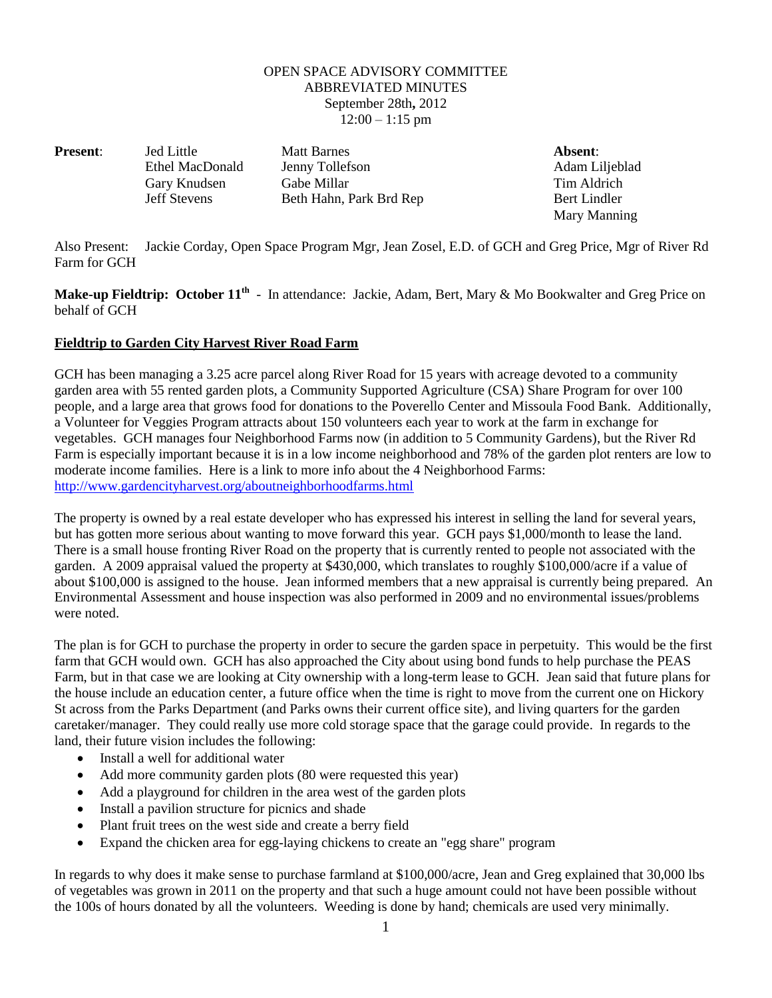## OPEN SPACE ADVISORY COMMITTEE ABBREVIATED MINUTES September 28th**,** 2012  $12:00 - 1:15$  pm

**Present:** Jed Little Matt Barnes **Absent:** Absent: Ethel MacDonald Jenny Tollefson Adam Liljeblad Gary Knudsen Gabe Millar Tim Aldrich Jeff Stevens Beth Hahn, Park Brd Rep Bert Lindler

Mary Manning

Also Present: Jackie Corday, Open Space Program Mgr, Jean Zosel, E.D. of GCH and Greg Price, Mgr of River Rd Farm for GCH

**Make-up Fieldtrip: October 11th** - In attendance: Jackie, Adam, Bert, Mary & Mo Bookwalter and Greg Price on behalf of GCH

## **Fieldtrip to Garden City Harvest River Road Farm**

GCH has been managing a 3.25 acre parcel along River Road for 15 years with acreage devoted to a community garden area with 55 rented garden plots, a Community Supported Agriculture (CSA) Share Program for over 100 people, and a large area that grows food for donations to the Poverello Center and Missoula Food Bank. Additionally, a Volunteer for Veggies Program attracts about 150 volunteers each year to work at the farm in exchange for vegetables. GCH manages four Neighborhood Farms now (in addition to 5 Community Gardens), but the River Rd Farm is especially important because it is in a low income neighborhood and 78% of the garden plot renters are low to moderate income families. Here is a link to more info about the 4 Neighborhood Farms: <http://www.gardencityharvest.org/aboutneighborhoodfarms.html>

The property is owned by a real estate developer who has expressed his interest in selling the land for several years, but has gotten more serious about wanting to move forward this year. GCH pays \$1,000/month to lease the land. There is a small house fronting River Road on the property that is currently rented to people not associated with the garden. A 2009 appraisal valued the property at \$430,000, which translates to roughly \$100,000/acre if a value of about \$100,000 is assigned to the house. Jean informed members that a new appraisal is currently being prepared. An Environmental Assessment and house inspection was also performed in 2009 and no environmental issues/problems were noted.

The plan is for GCH to purchase the property in order to secure the garden space in perpetuity. This would be the first farm that GCH would own. GCH has also approached the City about using bond funds to help purchase the PEAS Farm, but in that case we are looking at City ownership with a long-term lease to GCH. Jean said that future plans for the house include an education center, a future office when the time is right to move from the current one on Hickory St across from the Parks Department (and Parks owns their current office site), and living quarters for the garden caretaker/manager. They could really use more cold storage space that the garage could provide. In regards to the land, their future vision includes the following:

- Install a well for additional water
- Add more community garden plots (80 were requested this year)
- Add a playground for children in the area west of the garden plots
- Install a pavilion structure for picnics and shade
- Plant fruit trees on the west side and create a berry field
- Expand the chicken area for egg-laying chickens to create an "egg share" program

In regards to why does it make sense to purchase farmland at \$100,000/acre, Jean and Greg explained that 30,000 lbs of vegetables was grown in 2011 on the property and that such a huge amount could not have been possible without the 100s of hours donated by all the volunteers. Weeding is done by hand; chemicals are used very minimally.